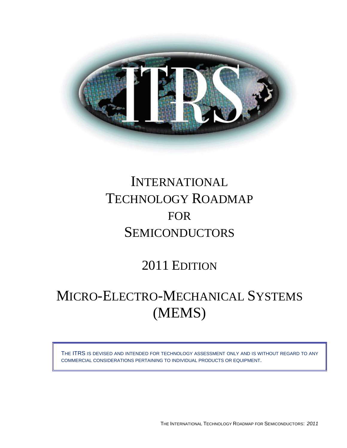

# INTERNATIONAL TECHNOLOGY ROADMAP FOR **SEMICONDUCTORS**

2011 EDITION

## MICRO-ELECTRO-MECHANICAL SYSTEMS (MEMS)

THE ITRS IS DEVISED AND INTENDED FOR TECHNOLOGY ASSESSMENT ONLY AND IS WITHOUT REGARD TO ANY COMMERCIAL CONSIDERATIONS PERTAINING TO INDIVIDUAL PRODUCTS OR EQUIPMENT.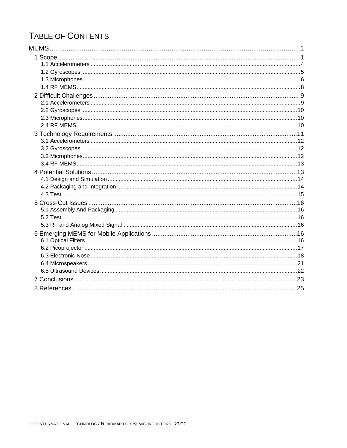## TABLE OF CONTENTS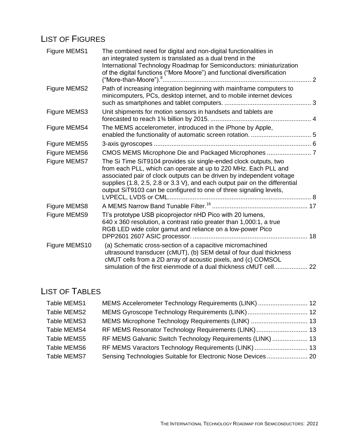### LIST OF FIGURES

| Figure MEMS1  | The combined need for digital and non-digital functionalities in<br>an integrated system is translated as a dual trend in the<br>International Technology Roadmap for Semiconductors: miniaturization<br>of the digital functions ("More Moore") and functional diversification                                                                                   |  |
|---------------|-------------------------------------------------------------------------------------------------------------------------------------------------------------------------------------------------------------------------------------------------------------------------------------------------------------------------------------------------------------------|--|
| Figure MEMS2  | Path of increasing integration beginning with mainframe computers to<br>minicomputers, PCs, desktop internet, and to mobile internet devices                                                                                                                                                                                                                      |  |
| Figure MEMS3  | Unit shipments for motion sensors in handsets and tablets are                                                                                                                                                                                                                                                                                                     |  |
| Figure MEMS4  | The MEMS accelerometer, introduced in the iPhone by Apple,                                                                                                                                                                                                                                                                                                        |  |
| Figure MEMS5  |                                                                                                                                                                                                                                                                                                                                                                   |  |
| Figure MEMS6  |                                                                                                                                                                                                                                                                                                                                                                   |  |
| Figure MEMS7  | The Si Time SiT9104 provides six single-ended clock outputs, two<br>from each PLL, which can operate at up to 220 MHz. Each PLL and<br>associated pair of clock outputs can be driven by independent voltage<br>supplies (1.8, 2.5, 2.8 or 3.3 V), and each output pair on the differential<br>output SiT9103 can be configured to one of three signaling levels, |  |
| Figure MEMS8  |                                                                                                                                                                                                                                                                                                                                                                   |  |
| Figure MEMS9  | TI's prototype USB picoprojector nHD Pico with 20 lumens,<br>640 x 360 resolution, a contrast ratio greater than 1,000:1, a true<br>RGB LED wide color gamut and reliance on a low-power Pico                                                                                                                                                                     |  |
| Figure MEMS10 | (a) Schematic cross-section of a capacitive micromachined<br>ultrasound transducer (cMUT), (b) SEM detail of four dual thickness<br>cMUT cells from a 2D array of acoustic pixels, and (c) COMSOL<br>simulation of the first eienmode of a dual thickness cMUT cell 22                                                                                            |  |

### LIST OF TABLES

| Table MEMS1 | MEMS Accelerometer Technology Requirements (LINK)  12        |  |
|-------------|--------------------------------------------------------------|--|
| Table MEMS2 |                                                              |  |
| Table MEMS3 | MEMS Microphone Technology Requirements (LINK)  13           |  |
| Table MEMS4 | RF MEMS Resonator Technology Requirements (LINK)  13         |  |
| Table MEMS5 | RF MEMS Galvanic Switch Technology Requirements (LINK)  13   |  |
| Table MEMS6 | RF MEMS Varactors Technology Requirements (LINK)  13         |  |
| Table MEMS7 | Sensing Technologies Suitable for Electronic Nose Devices 20 |  |
|             |                                                              |  |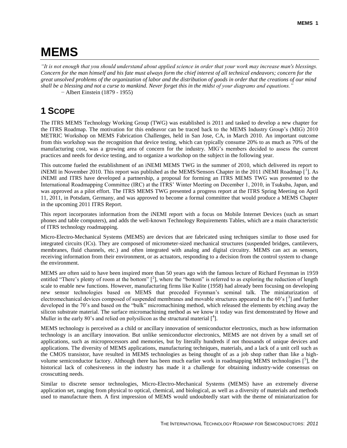## <span id="page-4-0"></span>**MEMS**

*"It is not enough that you should understand about applied science in order that your work may increase man's blessings. Concern for the man himself and his fate must always form the chief interest of all technical endeavors; concern for the great unsolved problems of the organization of labor and the distribution of goods in order that the creations of our mind shall be a blessing and not a curse to mankind. Never forget this in the midst of your diagrams and equations."* − Albert Einstein (1879 - 1955)

### <span id="page-4-1"></span>**1 SCOPE**

The ITRS MEMS Technology Working Group (TWG) was established is 2011 and tasked to develop a new chapter for the ITRS Roadmap. The motivation for this endeavor can be traced back to the MEMS Industry Group's (MIG) 2010 METRIC Workshop on MEMS Fabrication Challenges, held in San Jose, CA, in March 2010. An important outcome from this workshop was the recognition that device testing, which can typically consume 20% to as much as 70% of the manufacturing cost, was a growing area of concern for the industry. MIG's members decided to assess the current practices and needs for device testing, and to organize a workshop on the subject in the following year.

This outcome fueled the establishment of an iNEMI MEMS TWG in the summer of 2010, which delivered its report to iNEMI in November 2010. This report was published as the MEMS/Sensors Chapter in the 2011 iNEMI Roadmap  $\left[1\right]$ . As iNEMI and ITRS have developed a partnership, a proposal for forming an ITRS MEMS TWG was presented to the International Roadmapping Committee (IRC) at the ITRS' Winter Meeting on December 1, 2010, in Tsukuba, Japan, and was approved as a pilot effort. The ITRS MEMS TWG presented a progress report at the ITRS Spring Meeting on April 11, 2011, in Potsdam, Germany, and was approved to become a formal committee that would produce a MEMS Chapter in the upcoming 2011 ITRS Report.

This report incorporates information from the iNEMI report with a focus on Mobile Internet Devices (such as smart phones and table computers), and adds the well-known Technology Requirements Tables, which are a main characteristic of ITRS technology roadmapping.

Micro-Electro-Mechanical Systems (MEMS) are devices that are fabricated using techniques similar to those used for integrated circuits (ICs). They are composed of micrometer-sized mechanical structures (suspended bridges, cantilevers, membranes, fluid channels, etc.) and often integrated with analog and digital circuitry. MEMS can act as sensors, receiving information from their environment, or as actuators, responding to a decision from the control system to change the environment.

MEMS are often said to have been inspired more than 50 years ago with the famous lecture of Richard Feynman in 1959 entitled "There's plenty of room at the bottom"  $[^2]$ , where the "bottom" is referred to as exploring the reduction of length scale to enable new functions. However, manufacturing firms like Kulite (1958) had already been focusing on developing new sensor technologies based on MEMS that preceded Feynman's seminal talk. The miniaturization of electromechanical devices composed of suspended membranes and movable structures appeared in the 60's  $[^3]$  and further developed in the 70's and based on the "bulk" micromachining method, which released the elements by etching away the silicon substrate material. The surface micromachining method as we know it today was first demonstrated by Howe and Muller in the early 80's and relied on polysilicon as the structural material  $\mathcal{I}^4$ .

MEMS technology is perceived as a child or ancillary innovation of semiconductor electronics, much as how information technology is an ancillary innovation. But unlike semiconductor electronics, MEMS are not driven by a small set of applications, such as microprocessors and memories, but by literally hundreds if not thousands of unique devices and applications. The diversity of MEMS applications, manufacturing techniques, materials, and a lack of a unit cell such as the CMOS transistor, have resulted in MEMS technologies as being thought of as a job shop rather than like a highvolume semiconductor factory. Although there has been much earlier work in roadmapping MEMS technologies  $\binom{5}{1}$ , the historical lack of cohesiveness in the industry has made it a challenge for obtaining industry-wide consensus on crosscutting needs.

Similar to discrete sensor technologies, Micro-Electro-Mechanical Systems (MEMS) have an extremely diverse application set, ranging from physical to optical, chemical, and biological, as well as a diversity of materials and methods used to manufacture them. A first impression of MEMS would undoubtedly start with the theme of miniaturization for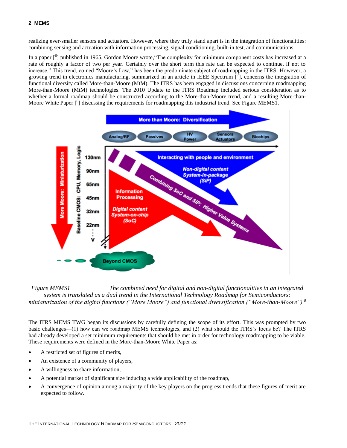realizing ever-smaller sensors and actuators. However, where they truly stand apart is in the integration of functionalities: combining sensing and actuation with information processing, signal conditioning, built-in test, and communications.

In a paper  $\binom{6}{1}$  published in 1965, Gordon Moore wrote, "The complexity for minimum component costs has increased at a rate of roughly a factor of two per year. Certainly over the short term this rate can be expected to continue, if not to increase." This trend, coined "Moore's Law," has been the predominate subject of roadmapping in the ITRS. However, a growing trend in electronics manufacturing, summarized in an article in IEEE Spectrum  $\vec{[}^{\,\,\tau}$ ], concerns the integration of functional diversity called More-than-Moore (MtM). The ITRS has been engaged in discussions concerning roadmapping More-than-Moore (MtM) technologies. The 2010 Update to the ITRS Roadmap included serious consideration as to whether a formal roadmap should be constructed according to the More-than-Moore trend, and a resulting More-than-Moore White Paper  $\binom{8}{1}$  discussing the requirements for roadmapping this industrial trend. See Figure MEMS1.

<span id="page-5-1"></span>

<span id="page-5-0"></span>*Figure MEMS1 The combined need for digital and non-digital functionalities in an integrated system is translated as a dual trend in the International Technology Roadmap for Semiconductors: miniaturization of the digital functions ("More Moore") and functional diversification ("More-than-Moore"[\).](#page-5-1)<sup>8</sup>*

The ITRS MEMS TWG began its discussions by carefully defining the scope of its effort. This was prompted by two basic challenges—(1) how can we roadmap MEMS technologies, and (2) what should the ITRS's focus be? The ITRS had already developed a set minimum requirements that should be met in order for technology roadmapping to be viable. These requirements were defined in the More-than-Moore White Paper as:

- A restricted set of figures of merits,
- An existence of a community of players,
- A willingness to share information,
- A potential market of significant size inducing a wide applicability of the roadmap,
- A convergence of opinion among a majority of the key players on the progress trends that these figures of merit are expected to follow.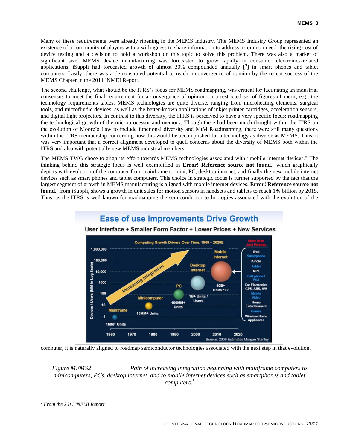Many of these requirements were already ripening in the MEMS industry. The MEMS Industry Group represented an existence of a community of players with a willingness to share information to address a common need: the rising cost of device testing and a decision to hold a workshop on this topic to solve this problem. There was also a market of significant size: MEMS device manufacturing was forecasted to grow rapidly in consumer electronics-related applications. iSuppli had forecasted growth of almost 30% compounded annually  $[9]$  in smart phones and tablet computers. Lastly, there was a demonstrated potential to reach a convergence of opinion by the recent success of the MEMS Chapter in the 2011 iNMEI Report.

The second challenge, what should be the ITRS's focus for MEMS roadmapping, was critical for facilitating an industrial consensus to meet the final requirement for a convergence of opinion on a restricted set of figures of merit, e.g., the technology requirements tables. MEMS technologies are quite diverse, ranging from microheating elements, surgical tools, and microfluidic devices, as well as the better-known applications of inkjet printer cartridges, acceleration sensors, and digital light projectors. In contrast to this diversity, the ITRS is perceived to have a very specific focus: roadmapping the technological growth of the microprocessor and memory. Though there had been much thought within the ITRS on the evolution of Moore's Law to include functional diversity and MtM Roadmapping, there were still many questions within the ITRS membership concerning how this would be accomplished for a technology as diverse as MEMS. Thus, it was very important that a correct alignment developed to quell concerns about the diversity of MEMS both within the ITRS and also with potentially new MEMS industrial members.

The MEMS TWG chose to align its effort towards MEMS technologies associated with "mobile internet devices." The thinking behind this strategic focus is well exemplified in **Error! Reference source not found.**, which graphically depicts with evolution of the computer from mainframe to mini, PC, desktop internet, and finally the new mobile internet devices such as smart phones and tablet computers. This choice in strategic focus is further supported by the fact that the largest segment of growth in MEMS manufacturing is aligned with mobile internet devices. **Error! Reference source not found.**, from iSuppli, shows a growth in unit sales for motion sensors in handsets and tablets to reach 1**¾** billion by 2015. Thus, as the ITRS is well known for roadmapping the semiconductor technologies associated with the evolution of the



**Ease of use Improvements Drive Growth** 

computer, it is naturally aligned to roadmap semiconductor technologies associated with the next step in that evolution.

<span id="page-6-0"></span>*Figure MEMS2 Path of increasing integration beginning with mainframe computers to minicomputers, PCs, desktop internet, and to mobile internet devices such as smartphones and tablet computers.<sup>1</sup>*

 $\overline{a}$ 

*<sup>1</sup> From the 2011 iNEMI Report*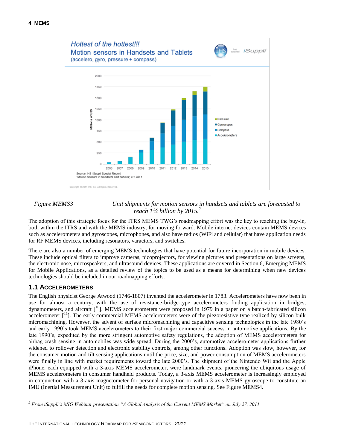

#### <span id="page-7-1"></span>*Figure MEMS3 Unit shipments for motion sensors in handsets and tablets are forecasted to reach 1¾ billion by 2015.<sup>2</sup>*

The adoption of this strategic focus for the ITRS MEMS TWG's roadmapping effort was the key to reaching the buy-in, both within the ITRS and with the MEMS industry, for moving forward. Mobile internet devices contain MEMS devices such as accelerometers and gyroscopes, microphones, and also have radios (WiFi and cellular) that have application needs for RF MEMS devices, including resonators, varactors, and switches.

There are also a number of emerging MEMS technologies that have potential for future incorporation in mobile devices. These include optical filters to improve cameras, picoprojectors, for viewing pictures and presentations on large screens, the electronic nose, microspeakers, and ultrasound devices. These applications are covered in Section 6, Emerging MEMS for Mobile Applications, as a detailed review of the topics to be used as a means for determining when new devices technologies should be included in our roadmapping efforts.

#### <span id="page-7-0"></span>**1.1 ACCELEROMETERS**

The English physicist George Atwood (1746-1807) invented the accelerometer in 1783. Accelerometers have now been in use for almost a century, with the use of resistance-bridge-type accelerometers finding application in bridges, dynamometers, and aircraft [<sup>10</sup>]. MEMS accelerometers were proposed in 1979 in a paper on a batch-fabricated silicon accelerometer  $\begin{bmatrix} 1 \\ 1 \end{bmatrix}$ . The early commercial MEMS accelerometers were of the piezoresistive type realized by silicon bulk micromachining. However, the advent of surface micromachining and capacitive sensing technologies in the late 1980's and early 1990's took MEMS accelerometers to their first major commercial success in automotive applications. By the late 1990's, expedited by the more stringent automotive safety regulations, the adoption of MEMS accelerometers for airbag crash sensing in automobiles was wide spread. During the 2000's, automotive accelerometer applications further widened to rollover detection and electronic stability controls, among other functions. Adoption was slow, however, for the consumer motion and tilt sensing applications until the price, size, and power consumption of MEMS accelerometers were finally in line with market requirements toward the late 2000's. The shipment of the Nintendo Wii and the Apple iPhone, each equipped with a 3-axis MEMS accelerometer, were landmark events, pioneering the ubiquitous usage of MEMS accelerometers in consumer handheld products. Today, a 3-axis MEMS accelerometer is increasingly employed in conjunction with a 3-axis magnetometer for personal navigation or with a 3-axis MEMS gyroscope to constitute an IMU (Inertial Measurement Unit) to fulfill the needs for complete motion sensing. See Figure MEMS4.

l *<sup>2</sup> From iSuppli's MIG Webinar presentation "A Global Analysis of the Current MEMS Market" on July 27, 2011*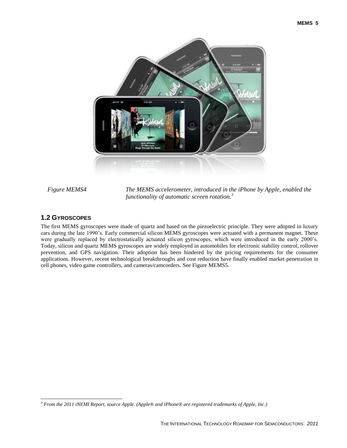

<span id="page-8-1"></span>

*Figure MEMS4 The MEMS accelerometer, introduced in the iPhone by Apple, enabled the functionality of automatic screen rotation.<sup>3</sup>*

#### <span id="page-8-0"></span>**1.2 GYROSCOPES**

 $\overline{a}$ 

The first MEMS gyroscopes were made of quartz and based on the piezoelectric principle. They were adopted in luxury cars during the late 1990's. Early commercial silicon MEMS gyroscopes were actuated with a permanent magnet. These were gradually replaced by electrostatically actuated silicon gyroscopes, which were introduced in the early 2000's. Today, silicon and quartz MEMS gyroscopes are widely employed in automobiles for electronic stability control, rollover prevention, and GPS navigation. Their adoption has been hindered by the pricing requirements for the consumer applications. However, recent technological breakthroughs and cost reduction have finally enabled market penetration in cell phones, video game controllers, and cameras/camcorders. See Figure MEMS5.

*<sup>3</sup> From the 2011 iNEMI Report, source Apple. (Apple® and iPhone® are registered trademarks of Apple, Inc.)*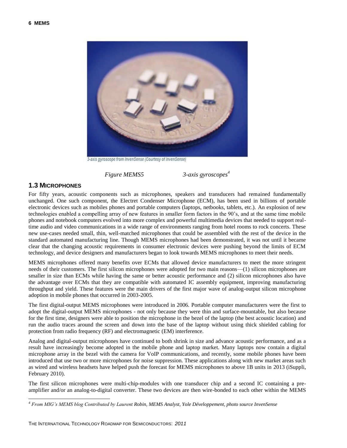

3-axis gyroscope from InvenSense (Courtesy of InvenSense)

*Figure MEMS5 3-axis gyroscopes<sup>4</sup>*

#### <span id="page-9-1"></span><span id="page-9-0"></span>**1.3 MICROPHONES**

l

For fifty years, acoustic components such as microphones, speakers and transducers had remained fundamentally unchanged. One such component, the Electret Condenser Microphone (ECM), has been used in billions of portable electronic devices such as mobiles phones and portable computers (laptops, netbooks, tablets, etc.). An explosion of new technologies enabled a compelling array of new features in smaller form factors in the 90's, and at the same time mobile phones and notebook computers evolved into more complex and powerful multimedia devices that needed to support realtime audio and video communications in a wide range of environments ranging from hotel rooms to rock concerts. These new use-cases needed small, thin, well-matched microphones that could be assembled with the rest of the device in the standard automated manufacturing line. Though MEMS microphones had been demonstrated, it was not until it became clear that the changing acoustic requirements in consumer electronic devices were pushing beyond the limits of ECM technology, and device designers and manufacturers began to look towards MEMS microphones to meet their needs.

MEMS microphones offered many benefits over ECMs that allowed device manufacturers to meet the more stringent needs of their customers. The first silicon microphones were adopted for two main reasons—(1) silicon microphones are smaller in size than ECMs while having the same or better acoustic performance and (2) silicon microphones also have the advantage over ECMs that they are compatible with automated IC assembly equipment, improving manufacturing throughput and yield. These features were the main drivers of the first major wave of analog-output silicon microphone adoption in mobile phones that occurred in 2003-2005.

The first digital-output MEMS microphones were introduced in 2006. Portable computer manufacturers were the first to adopt the digital-output MEMS microphones - not only because they were thin and surface-mountable, but also because for the first time, designers were able to position the microphone in the bezel of the laptop (the best acoustic location) and run the audio traces around the screen and down into the base of the laptop without using thick shielded cabling for protection from radio frequency (RF) and electromagnetic (EM) interference.

Analog and digital-output microphones have continued to both shrink in size and advance acoustic performance, and as a result have increasingly become adopted in the mobile phone and laptop market. Many laptops now contain a digital microphone array in the bezel with the camera for VoIP communications, and recently, some mobile phones have been introduced that use two or more microphones for noise suppression. These applications along with new market areas such as wired and wireless headsets have helped push the forecast for MEMS microphones to above 1B units in 2013 (iSuppli, February 2010).

The first silicon microphones were multi-chip-modules with one transducer chip and a second IC containing a preamplifier and/or an analog-to-digital converter. These two devices are then wire-bonded to each other within the MEMS

*<sup>4</sup> From MIG's MEMS blog Contributed by Laurent Robin, MEMS Analyst, Yole Développement, photo source InvenSense*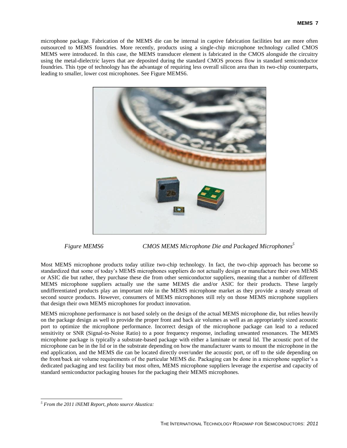microphone package. Fabrication of the MEMS die can be internal in captive fabrication facilities but are more often outsourced to MEMS foundries. More recently, products using a single-chip microphone technology called CMOS MEMS were introduced. In this case, the MEMS transducer element is fabricated in the CMOS alongside the circuitry using the metal-dielectric layers that are deposited during the standard CMOS process flow in standard semiconductor foundries. This type of technology has the advantage of requiring less overall silicon area than its two-chip counterparts, leading to smaller, lower cost microphones. See Figure MEMS6.



*Figure MEMS6 CMOS MEMS Microphone Die and Packaged Microphones<sup>5</sup>*

<span id="page-10-0"></span>Most MEMS microphone products today utilize two-chip technology. In fact, the two-chip approach has become so standardized that some of today's MEMS microphones suppliers do not actually design or manufacture their own MEMS or ASIC die but rather, they purchase these die from other semiconductor suppliers, meaning that a number of different MEMS microphone suppliers actually use the same MEMS die and/or ASIC for their products. These largely undifferentiated products play an important role in the MEMS microphone market as they provide a steady stream of second source products. However, consumers of MEMS microphones still rely on those MEMS microphone suppliers that design their own MEMS microphones for product innovation.

MEMS microphone performance is not based solely on the design of the actual MEMS microphone die, but relies heavily on the package design as well to provide the proper front and back air volumes as well as an appropriately sized acoustic port to optimize the microphone performance. Incorrect design of the microphone package can lead to a reduced sensitivity or SNR (Signal-to-Noise Ratio) to a poor frequency response, including unwanted resonances. The MEMS microphone package is typically a substrate-based package with either a laminate or metal lid. The acoustic port of the microphone can be in the lid or in the substrate depending on how the manufacturer wants to mount the microphone in the end application, and the MEMS die can be located directly over/under the acoustic port, or off to the side depending on the front/back air volume requirements of the particular MEMS die. Packaging can be done in a microphone supplier's a dedicated packaging and test facility but most often, MEMS microphone suppliers leverage the expertise and capacity of standard semiconductor packaging houses for the packaging their MEMS microphones.

 $\overline{a}$ *<sup>5</sup> From the 2011 iNEMI Report, photo source Akustica:*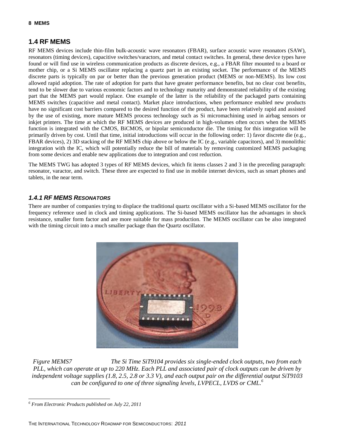### <span id="page-11-0"></span>**1.4 RF MEMS**

RF MEMS devices include thin-film bulk-acoustic wave resonators (FBAR), surface acoustic wave resonators (SAW), resonators (timing devices), capacitive switches/varactors, and metal contact switches. In general, these device types have found or will find use in wireless communication products as discrete devices, e.g., a FBAR filter mounted to a board or mother chip, or a Si MEMS oscillator replacing a quartz part in an existing socket. The performance of the MEMS discrete parts is typically on par or better than the previous generation product (MEMS or non-MEMS). Its low cost allowed rapid adoption. The rate of adoption for parts that have greater performance benefits, but no clear cost benefits, tend to be slower due to various economic factors and to technology maturity and demonstrated reliability of the existing part that the MEMS part would replace. One example of the latter is the reliability of the packaged parts containing MEMS switches (capacitive and metal contact). Market place introductions, when performance enabled new products have no significant cost barriers compared to the desired function of the product, have been relatively rapid and assisted by the use of existing, more mature MEMS process technology such as Si micromachining used in airbag sensors or inkjet printers. The time at which the RF MEMS devices are produced in high-volumes often occurs when the MEMS function is integrated with the CMOS, BiCMOS, or bipolar semiconductor die. The timing for this integration will be primarily driven by cost. Until that time, initial introductions will occur in the following order: 1) favor discrete die (e.g., FBAR devices), 2) 3D stacking of the RF MEMS chip above or below the IC (e.g., variable capacitors), and 3) monolithic integration with the IC, which will potentially reduce the bill of materials by removing customized MEMS packaging from some devices and enable new applications due to integration and cost reduction.

The MEMS TWG has adopted 3 types of RF MEMS devices, which fit items classes 2 and 3 in the preceding paragraph: resonator, varactor, and switch. These three are expected to find use in mobile internet devices, such as smart phones and tablets, in the near term.

#### *1.4.1 RF MEMS RESONATORS*

There are number of companies trying to displace the traditional quartz oscillator with a Si-based MEMS oscillator for the frequency reference used in clock and timing applications. The Si-based MEMS oscillator has the advantages in shock resistance, smaller form factor and are more suitable for mass production. The MEMS oscillator can be also integrated with the timing circuit into a much smaller package than the Quartz oscillator.



<span id="page-11-1"></span>*Figure MEMS7 The Si Time SiT9104 provides six single-ended clock outputs, two from each PLL, which can operate at up to 220 MHz. Each PLL and associated pair of clock outputs can be driven by independent voltage supplies (1.8, 2.5, 2.8 or 3.3 V), and each output pair on the differential output SiT9103 can be configured to one of three signaling levels, LVPECL, LVDS or CML.<sup>6</sup>*

l *<sup>6</sup> From Electronic Products published on July 22, 2011*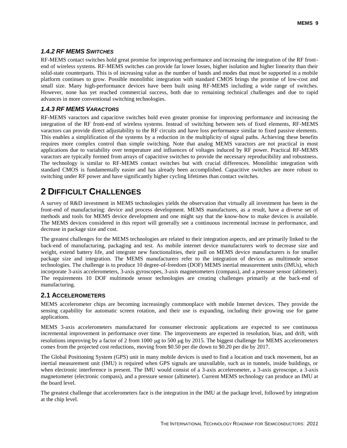#### *1.4.2 RF MEMS SWITCHES*

RF-MEMS contact switches hold great promise for improving performance and increasing the integration of the RF frontend of wireless systems. RF-MEMS switches can provide far lower losses, higher isolation and higher linearity than their solid-state counterparts. This is of increasing value as the number of bands and modes that must be supported in a mobile platform continues to grow. Possible monolithic integration with standard CMOS brings the promise of low-cost and small size. Many high-performance devices have been built using RF-MEMS including a wide range of switches. However, none has yet reached commercial success, both due to remaining technical challenges and due to rapid advances in more conventional switching technologies.

#### *1.4.3 RF MEMS VARACTORS*

RF-MEMS varactors and capacitive switches hold even greater promise for improving performance and increasing the integration of the RF front-end of wireless systems. Instead of switching between sets of fixed elements, RF-MEMS varactors can provide direct adjustability to the RF circuits and have loss performance similar to fixed passive elements. This enables a simplification of the systems by a reduction in the multiplicity of signal paths. Achieving these benefits requires more complex control than simple switching. Note that analog MEMS varactors are not practical in most applications due to variability over temperature and influences of voltages induced by RF power. Practical RF-MEMS varactors are typically formed from arrays of capacitive switches to provide the necessary reproducibility and robustness. The technology is similar to RF-MEMS contact switches but with crucial differences. Monolithic integration with standard CMOS is fundamentally easier and has already been accomplished. Capacitive switches are more robust to switching under RF power and have significantly higher cycling lifetimes than contact switches.

### <span id="page-12-0"></span>**2 DIFFICULT CHALLENGES**

A survey of R&D investment in MEMS technologies yields the observation that virtually all investment has been in the front-end of manufacturing: device and process development. MEMS manufactures, as a result, have a diverse set of methods and tools for MEMS device development and one might say that the know-how to make devices is available. The MEMS devices considered in this report will generally see a continuous incremental increase in performance, and decrease in package size and cost.

The greatest challenges for the MEMS technologies are related to their integration aspects, and are primarily linked to the back-end of manufacturing, packaging and test. As mobile internet device manufacturers work to decrease size and weight, extend battery life, and integrate new functionalities, their pull on MEMS device manufacturers is for smaller package size and integration. The MEMS manufacturers refer to the integration of devices as multimode sensor technologies. The challenge is to produce 10 degree-of-freedom (DOF) MEMS inertial measurement units (IMUs), which incorporate 3-axis accelerometers, 3-axis gyroscopes, 3-axis magnetometers (compass), and a pressure sensor (altimeter). The requirements 10 DOF multimode sensor technologies are creating challenges primarily at the back-end of manufacturing.

#### <span id="page-12-1"></span>**2.1 ACCELEROMETERS**

MEMS accelerometer chips are becoming increasingly commonplace with mobile Internet devices. They provide the sensing capability for automatic screen rotation, and their use is expanding, including their growing use for game applications.

MEMS 3-axis accelerometers manufactured for consumer electronic applications are expected to see continuous incremental improvement in performance over time. The improvements are expected in resolution, bias, and drift, with resolutions improving by a factor of 2 from 1000 ug to 500 ug by 2015. The biggest challenge for MEMS accelerometers comes from the projected cost reductions, moving from \$0.50 per die down to \$0.20 per die by 2017.

The Global Positioning System (GPS) unit in many mobile devices is used to find a location and track movement, but an inertial measurement unit (IMU) is required when GPS signals are unavailable, such as in tunnels, inside buildings, or when electronic interference is present. The IMU would consist of a 3-axis accelerometer, a 3-axis gyroscope, a 3-axis magnetometer (electronic compass), and a pressure sensor (altimeter). Current MEMS technology can produce an IMU at the board level.

The greatest challenge that accelerometers face is the integration in the IMU at the package level, followed by integration at the chip level.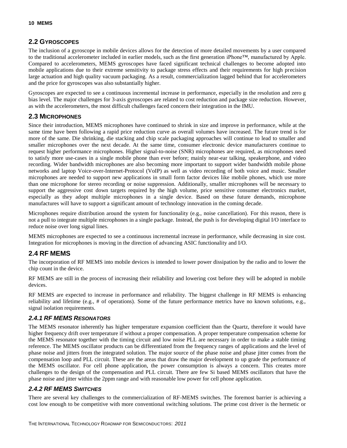#### <span id="page-13-0"></span>**2.2 GYROSCOPES**

The inclusion of a gyroscope in mobile devices allows for the detection of more detailed movements by a user compared to the traditional accelerometer included in earlier models, such as the first generation iPhone™, manufactured by Apple. Compared to accelerometers, MEMS gyroscopes have faced significant technical challenges to become adopted into mobile applications due to their extreme sensitivity to package stress effects and their requirements for high precision large actuation and high quality vacuum packaging. As a result, commercialization lagged behind that for accelerometers and the price for gyroscopes was also substantially higher.

Gyroscopes are expected to see a continuous incremental increase in performance, especially in the resolution and zero g bias level. The major challenges for 3-axis gyroscopes are related to cost reduction and package size reduction. However, as with the accelerometers, the most difficult challenges faced concern their integration in the IMU.

#### <span id="page-13-1"></span>**2.3 MICROPHONES**

Since their introduction, MEMS microphones have continued to shrink in size and improve in performance, while at the same time have been following a rapid price reduction curve as overall volumes have increased. The future trend is for more of the same. Die shrinking, die stacking and chip scale packaging approaches will continue to lead to smaller and smaller microphones over the next decade. At the same time, consumer electronic device manufacturers continue to request higher performance microphones. Higher signal-to-noise (SNR) microphones are required, as microphones need to satisfy more use-cases in a single mobile phone than ever before; mainly near-ear talking, speakerphone, and video recording. Wider bandwidth microphones are also becoming more important to support wider bandwidth mobile phone networks and laptop Voice-over-Internet-Protocol (VoIP) as well as video recording of both voice and music. Smaller microphones are needed to support new applications in small form factor devices like mobile phones, which use more than one microphone for stereo recording or noise suppression. Additionally, smaller microphones will be necessary to support the aggressive cost down targets required by the high volume, price sensitive consumer electronics market, especially as they adopt multiple microphones in a single device. Based on these future demands, microphone manufactures will have to support a significant amount of technology innovation in the coming decade.

Microphones require distribution around the system for functionality (e.g., noise cancellation). For this reason, there is not a pull to integrate multiple microphones in a single package. Instead, the push is for developing digital I/O interface to reduce noise over long signal lines.

MEMS microphones are expected to see a continuous incremental increase in performance, while decreasing in size cost. Integration for microphones is moving in the direction of advancing ASIC functionality and I/O.

#### <span id="page-13-2"></span>**2.4 RF MEMS**

The incorporation of RF MEMS into mobile devices is intended to lower power dissipation by the radio and to lower the chip count in the device.

RF MEMS are still in the process of increasing their reliability and lowering cost before they will be adopted in mobile devices.

RF MEMS are expected to increase in performance and reliability. The biggest challenge in RF MEMS is enhancing reliability and lifetime (e.g., # of operations). Some of the future performance metrics have no known solutions, e.g., signal isolation requirements.

#### *2.4.1 RF MEMS RESONATORS*

The MEMS resonator inherently has higher temperature expansion coefficient than the Quartz, therefore it would have higher frequency drift over temperature if without a proper compensation. A proper temperature compensation scheme for the MEMS resonator together with the timing circuit and low noise PLL are necessary in order to make a stable timing reference. The MEMS oscillator products can be differentiated from the frequency ranges of applications and the level of phase noise and jitters from the integrated solution. The major source of the phase noise and phase jitter comes from the compensation loop and PLL circuit. These are the areas that draw the major development to up grade the performance of the MEMS oscillator. For cell phone application, the power consumption is always a concern. This creates more challenges to the design of the compensation and PLL circuit. There are few Si based MEMS oscillators that have the phase noise and jitter within the 2ppm range and with reasonable low power for cell phone application.

#### *2.4.2 RF MEMS SWITCHES*

There are several key challenges to the commercialization of RF-MEMS switches. The foremost barrier is achieving a cost low enough to be competitive with more conventional switching solutions. The prime cost driver is the hermetic or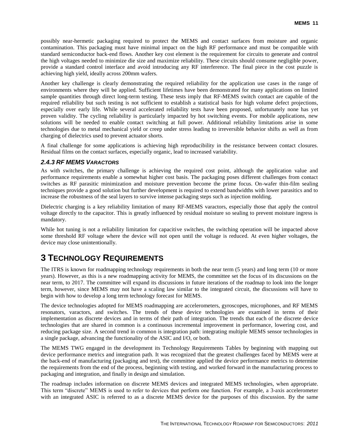possibly near-hermetic packaging required to protect the MEMS and contact surfaces from moisture and organic contamination. This packaging must have minimal impact on the high RF performance and must be compatible with standard semiconductor back-end flows. Another key cost element is the requirement for circuits to generate and control the high voltages needed to minimize die size and maximize reliability. These circuits should consume negligible power, provide a standard control interface and avoid introducing any RF interference. The final piece in the cost puzzle is achieving high yield, ideally across 200mm wafers.

Another key challenge is clearly demonstrating the required reliability for the application use cases in the range of environments where they will be applied. Sufficient lifetimes have been demonstrated for many applications on limited sample quantities through direct long-term testing. These tests imply that RF-MEMS switch contact are capable of the required reliability but such testing is not sufficient to establish a statistical basis for high volume defect projections, especially over early life. While several accelerated reliability tests have been proposed, unfortunately none has yet proven validity. The cycling reliability is particularly impacted by hot switching events. For mobile applications, new solutions will be needed to enable contact switching at full power. Additional reliability limitations arise in some technologies due to metal mechanical yield or creep under stress leading to irreversible behavior shifts as well as from charging of dielectrics used to prevent actuator shorts.

A final challenge for some applications is achieving high reproducibility in the resistance between contact closures. Residual films on the contact surfaces, especially organic, lead to increased variability.

#### *2.4.3 RF MEMS VARACTORS*

As with switches, the primary challenge is achieving the required cost point, although the application value and performance requirements enable a somewhat higher cost basis. The packaging poses different challenges from contact switches as RF parasitic minimization and moisture prevention become the prime focus. On-wafer thin-film sealing techniques provide a good solution but further development is required to extend bandwidths with lower parasitics and to increase the robustness of the seal layers to survive intense packaging steps such as injection molding.

Dielectric charging is a key reliability limitation of many RF-MEMS varactors, especially those that apply the control voltage directly to the capacitor. This is greatly influenced by residual moisture so sealing to prevent moisture ingress is mandatory.

While hot tuning is not a reliability limitation for capacitive switches, the switching operation will be impacted above some threshold RF voltage where the device will not open until the voltage is reduced. At even higher voltages, the device may close unintentionally.

### <span id="page-14-0"></span>**3 TECHNOLOGY REQUIREMENTS**

The ITRS is known for roadmapping technology requirements in both the near term (5 years) and long term (10 or more years). However, as this is a new roadmapping activity for MEMS, the committee set the focus of its discussions on the near term, to 2017. The committee will expand its discussions in future iterations of the roadmap to look into the longer term, however, since MEMS may not have a scaling law similar to the integrated circuit, the discussions will have to begin with how to develop a long term technology forecast for MEMS.

The device technologies adopted for MEMS roadmapping are accelerometers, gyroscopes, microphones, and RF MEMS resonators, varactors, and switches. The trends of these device technologies are examined in terms of their implementation as discrete devices and in terms of their path of integration. The trends that each of the discrete device technologies that are shared in common is a continuous incremental improvement in performance, lowering cost, and reducing package size. A second trend in common is integration path: integrating multiple MEMS sensor technologies in a single package, advancing the functionality of the ASIC and I/O, or both.

The MEMS TWG engaged in the development its Technology Requirements Tables by beginning with mapping out device performance metrics and integration path. It was recognized that the greatest challenges faced by MEMS were at the back-end of manufacturing (packaging and test), the committee applied the device performance metrics to determine the requirements from the end of the process, beginning with testing, and worked forward in the manufacturing process to packaging and integration, and finally in design and simulation.

The roadmap includes information on discrete MEMS devices and integrated MEMS technologies, when appropriate. This term "discrete" MEMS is used to refer to devices that perform one function. For example, a 3-axis accelerometer with an integrated ASIC is referred to as a discrete MEMS device for the purposes of this discussion. By the same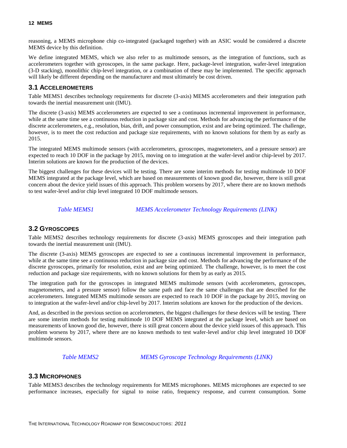reasoning, a MEMS microphone chip co-integrated (packaged together) with an ASIC would be considered a discrete MEMS device by this definition.

We define integrated MEMS, which we also refer to as multimode sensors, as the integration of functions, such as accelerometers together with gyroscopes, in the same package. Here, package-level integration, wafer-level integration (3-D stacking), monolithic chip-level integration, or a combination of these may be implemented. The specific approach will likely be different depending on the manufacturer and must ultimately be cost driven.

#### <span id="page-15-0"></span>**3.1 ACCELEROMETERS**

Table MEMS1 describes technology requirements for discrete (3-axis) MEMS accelerometers and their integration path towards the inertial measurement unit (IMU).

The discrete (3-axis) MEMS accelerometers are expected to see a continuous incremental improvement in performance, while at the same time see a continuous reduction in package size and cost. Methods for advancing the performance of the discrete accelerometers, e.g., resolution, bias, drift, and power consumption, exist and are being optimized. The challenge, however, is to meet the cost reduction and package size requirements, with no known solutions for them by as early as 2015.

The integrated MEMS multimode sensors (with accelerometers, gyroscopes, magnetometers, and a pressure sensor) are expected to reach 10 DOF in the package by 2015, moving on to integration at the wafer-level and/or chip-level by 2017. Interim solutions are known for the production of the devices.

The biggest challenges for these devices will be testing. There are some interim methods for testing multimode 10 DOF MEMS integrated at the package level, which are based on measurements of known good die, however, there is still great concern about the device yield issues of this approach. This problem worsens by 2017, where there are no known methods to test wafer-level and/or chip level integrated 10 DOF multimode sensors.

*Table MEMS1 MEMS Accelerometer Technology Requirements (LINK)*

#### <span id="page-15-3"></span><span id="page-15-1"></span>**3.2 GYROSCOPES**

Table MEMS2 describes technology requirements for discrete (3-axis) MEMS gyroscopes and their integration path towards the inertial measurement unit (IMU).

The discrete (3-axis) MEMS gyroscopes are expected to see a continuous incremental improvement in performance, while at the same time see a continuous reduction in package size and cost. Methods for advancing the performance of the discrete gyroscopes, primarily for resolution, exist and are being optimized. The challenge, however, is to meet the cost reduction and package size requirements, with no known solutions for them by as early as 2015.

The integration path for the gyroscopes in integrated MEMS multimode sensors (with accelerometers, gyroscopes, magnetometers, and a pressure sensor) follow the same path and face the same challenges that are described for the accelerometers. Integrated MEMS multimode sensors are expected to reach 10 DOF in the package by 2015, moving on to integration at the wafer-level and/or chip-level by 2017. Interim solutions are known for the production of the devices.

And, as described in the previous section on accelerometers, the biggest challenges for these devices will be testing. There are some interim methods for testing multimode 10 DOF MEMS integrated at the package level, which are based on measurements of known good die, however, there is still great concern about the device yield issues of this approach. This problem worsens by 2017, where there are no known methods to test wafer-level and/or chip level integrated 10 DOF multimode sensors.

*Table MEMS2 MEMS Gyroscope Technology Requirements (LINK)*

#### <span id="page-15-4"></span><span id="page-15-2"></span>**3.3 MICROPHONES**

Table MEMS3 describes the technology requirements for MEMS microphones. MEMS microphones are expected to see performance increases, especially for signal to noise ratio, frequency response, and current consumption. Some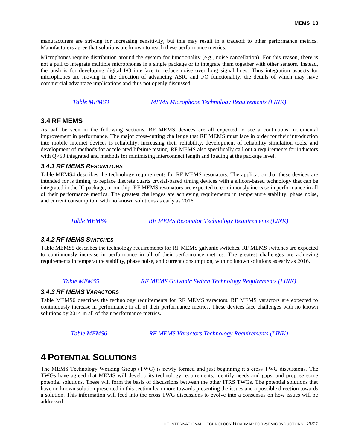manufacturers are striving for increasing sensitivity, but this may result in a tradeoff to other performance metrics. Manufacturers agree that solutions are known to reach these performance metrics.

Microphones require distribution around the system for functionality (e.g., noise cancellation). For this reason, there is not a pull to integrate multiple microphones in a single package or to integrate them together with other sensors. Instead, the push is for developing digital I/O interface to reduce noise over long signal lines. Thus integration aspects for microphones are moving in the direction of advancing ASIC and I/O functionality, the details of which may have commercial advantage implications and thus not openly discussed.

*Table MEMS3 MEMS Microphone Technology Requirements (LINK)*

#### <span id="page-16-2"></span><span id="page-16-0"></span>**3.4 RF MEMS**

As will be seen in the following sections, RF MEMS devices are all expected to see a continuous incremental improvement in performance. The major cross-cutting challenge that RF MEMS must face in order for their introduction into mobile internet devices is reliability: increasing their reliability, development of reliability simulation tools, and development of methods for accelerated lifetime testing. RF MEMS also specifically call out a requirements for inductors with Q>50 integrated and methods for minimizing interconnect length and loading at the package level.

#### *3.4.1 RF MEMS RESONATORS*

Table MEMS4 describes the technology requirements for RF MEMS resonators. The application that these devices are intended for is timing, to replace discrete quartz crystal-based timing devices with a silicon-based technology that can be integrated in the IC package, or on chip. RF MEMS resonators are expected to continuously increase in performance in all of their performance metrics. The greatest challenges are achieving requirements in temperature stability, phase noise, and current consumption, with no known solutions as early as 2016.

#### *Table MEMS4 RF MEMS Resonator Technology Requirements (LINK)*

#### <span id="page-16-3"></span>*3.4.2 RF MEMS SWITCHES*

Table MEMS5 describes the technology requirements for RF MEMS galvanic switches. RF MEMS switches are expected to continuously increase in performance in all of their performance metrics. The greatest challenges are achieving requirements in temperature stability, phase noise, and current consumption, with no known solutions as early as 2016.

#### *Table MEMS5 RF MEMS Galvanic Switch Technology Requirements (LINK)*

#### <span id="page-16-4"></span>*3.4.3 RF MEMS VARACTORS*

Table MEMS6 describes the technology requirements for RF MEMS varactors. RF MEMS varactors are expected to continuously increase in performance in all of their performance metrics. These devices face challenges with no known solutions by 2014 in all of their performance metrics.

*Table MEMS6 RF MEMS Varactors Technology Requirements (LINK)*

### <span id="page-16-5"></span><span id="page-16-1"></span>**4 POTENTIAL SOLUTIONS**

The MEMS Technology Working Group (TWG) is newly formed and just beginning it's cross TWG discussions. The TWGs have agreed that MEMS will develop its technology requirements, identify needs and gaps, and propose some potential solutions. These will form the basis of discussions between the other ITRS TWGs. The potential solutions that have no known solution presented in this section lean more towards presenting the issues and a possible direction towards a solution. This information will feed into the cross TWG discussions to evolve into a consensus on how issues will be addressed.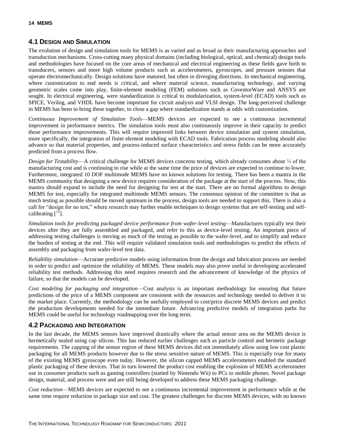#### <span id="page-17-0"></span>**4.1 DESIGN AND SIMULATION**

The evolution of design and simulation tools for MEMS is as varied and as broad as their manufacturing approaches and transduction mechanisms. Cross-cutting many physical domains (including biological, optical, and chemical) design tools and methodologies have focused on the core areas of mechanical and electrical engineering as these fields gave birth to transducers, sensors and more high volume products such as accelerometers, gyroscopes, and pressure sensors that operate electromechanically. Design solutions have matured, but often in diverging directions. In mechanical engineering, where customization to end needs is critical, and where material science, manufacturing technology, and varying geometric scales come into play, finite-element modeling (FEM) solutions such as CoventorWare and ANSYS are sought. In electrical engineering, were standardization is critical to modularization, system-level (ECAD) tools such as SPICE, Verilog, and VHDL have become important for circuit analysis and VLSI design. The long-perceived challenge in MEMS has been to bring these together, to close a gap where standardization stands at odds with customization.

*Continuous Improvement of Simulation Tools*—MEMS devices are expected to see a continuous incremental improvement in performance metrics. The simulation tools must also continuously improve in their capacity to predict those performance improvements. This will require improved links between device simulation and system simulation, more specifically, the integration of finite element modeling with ECAD tools. Fabrication process modeling should also advance so that material properties, and process-induced surface characteristics and stress fields can be more accurately predicted from a process flow.

*Design for Testability*—A critical challenge for MEMS devices concerns testing, which already consumes about ⅓ of the manufacturing cost and is continuing to rise while at the same time the price of devices are expected to continue to lower. Furthermore, integrated 10 DOF multimode MEMS have no known solutions for testing. There has been a mantra in the MEMS community that designing a new device requires consideration of the package at the start of the process. Now, this mantra should expand to include the need for designing for test at the start. There are no formal algorithms to design MEMS for test, especially for integrated multimode MEMS sensors. The consensus opinion of the committee is that as much testing as possible should be moved upstream in the process, design tools are needed to support this. There is also a call for "design for no test," where research may further enable techniques to design systems that are self-testing and selfcalibrating  $[12]$ .

*Simulation tools for predicting packaged device performance from wafer-level testing*—Manufactures typically test their devices after they are fully assembled and packaged, and refer to this as device-level testing. An important piece of addressing testing challenges is moving as much of the testing as possible to the wafer-level, and to simplify and reduce the burden of testing at the end. This will require validated simulation tools and methodologies to predict the effects of assembly and packaging from wafer-level test data.

*Reliability simulation*—Accurate predictive models using information from the design and fabrication process are needed in order to predict and optimize the reliability of MEMS. These models may also prove useful in developing accelerated reliability test methods. Addressing this need requires research and the advancement of knowledge of the physics of failure, so that the models can be developed.

*Cost modeling for packaging and integration*—Cost analysis is an important methodology for ensuring that future predictions of the price of a MEMS component are consistent with the resources and technology needed to deliver it to the market place. Currently, the methodology can be usefully employed to cost/price discrete MEMS devices and predict the production developments needed for the immediate future. Advancing predictive models of integration paths for MEMS could be useful for technology roadmapping over the long term.

#### <span id="page-17-1"></span>**4.2 PACKAGING AND INTEGRATION**

In the last decade, the MEMS sensors have improved drastically where the actual sensor area on the MEMS device is hermetically sealed using cap silicon. This has reduced earlier challenges such as particle control and hermetic package requirements. The capping of the sensor region of these MEMS devices did not immediately allow using low cost plastic packaging for all MEMS products however due to the stress sensitive nature of MEMS. This is especially true for many of the existing MEMS gyroscope even today. However, the silicon capped MEMS accelerometers enabled the standard plastic packaging of these devices. That in turn lowered the product cost enabling the explosion of MEMS accelerometer use in consumer products such as gaming controllers (started by Nintendo Wii) to PCs to mobile phones. Novel package design, material, and process were and are still being developed to address these MEMS packaging challenge.

*Cost reduction*—MEMS devices are expected to see a continuous incremental improvement in performance while at the same time require reduction in package size and cost. The greatest challenges for discrete MEMS devices, with no known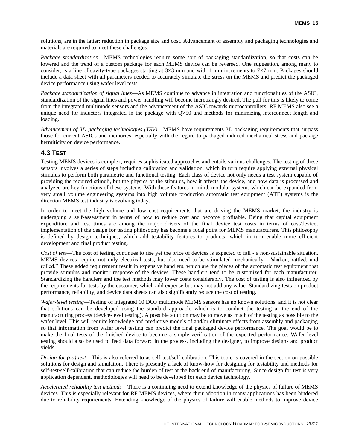solutions, are in the latter: reduction in package size and cost. Advancement of assembly and packaging technologies and materials are required to meet these challenges.

*Package standardization*—MEMS technologies require some sort of packaging standardization, so that costs can be lowered and the trend of a custom package for each MEMS device can be reversed. One suggestion, among many to consider, is a line of cavity-type packages starting at  $3\times3$  mm and with 1 mm increments to  $7\times7$  mm. Packages should include a data sheet with all parameters needed to accurately simulate the stress on the MEMS and predict the packaged device performance using wafer level tests.

*Package standardization of signal lines*—As MEMS continue to advance in integration and functionalities of the ASIC, standardization of the signal lines and power handling will become increasingly desired. The pull for this is likely to come from the integrated multimode sensors and the advancement of the ASIC towards microcontrollers. RF MEMS also see a unique need for inductors integrated in the package with  $Q>50$  and methods for minimizing interconnect length and loading.

*Advancement of 3D packaging technologies (TSV)*—MEMS have requirements 3D packaging requirements that surpass those for current ASICs and memories, especially with the regard to packaged induced mechanical stress and package hermiticity on device performance.

#### <span id="page-18-0"></span>**4.3 TEST**

Testing MEMS devices is complex, requires sophisticated approaches and entails various challenges. The testing of these sensors involves a series of steps including calibration and validation, which in turn require applying external physical stimulus to perform both parametric and functional testing. Each class of device not only needs a test system capable of providing the required stimuli, but the physics of the stimulus, how it affects the device, and how data is processed and analyzed are key functions of these systems. With these features in mind, modular systems which can be expanded from very small volume engineering systems into high volume production automatic test equipment (ATE) systems is the direction MEMS test industry is evolving today.

In order to meet the high volume and low cost requirements that are driving the MEMS market, the industry is undergoing a self-assessment in terms of how to reduce cost and become profitable. Being that capital equipment expenditure and test times are among the major drivers of the final device test costs in terms of cost/device, implementation of the design for testing philosophy has become a focal point for MEMS manufacturers. This philosophy is defined by design techniques, which add testability features to products, which in turn enable more efficient development and final product testing.

*Cost of test*—The cost of testing continues to rise yet the price of devices is expected to fall - a non-sustainable situation. MEMS devices require not only electrical tests, but also need to be stimulated mechanically—"shaken, rattled, and rolled." These added requirement result in expensive handlers, which are the pieces of the automatic test equipment that provide stimulus and monitor response of the devices. These handlers tend to be customized for each manufacturer. Standardizing the handlers and the test methods may lower costs considerably. The cost of testing is also influenced by the requirements for tests by the customer, which add expense but may not add any value. Standardizing tests on product performance, reliability, and device data sheets can also significantly reduce the cost of testing.

*Wafer-level testing*—Testing of integrated 10 DOF multimode MEMS sensors has no known solutions, and it is not clear that solutions can be developed using the standard approach, which is to conduct the testing at the end of the manufacturing process (device-level testing). A possible solution may be to move as much of the testing as possible to the wafer level. This will require knowledge and predictive models of and/or eliminate effects from assembly and packaging so that information from wafer level testing can predict the final packaged device performance. The goal would be to make the final tests of the finished device to become a simple verification of the expected performance. Wafer level testing should also be used to feed data forward in the process, including the designer, to improve designs and product yields

*Design for (no) test*—This is also referred to as self-test/self-calibration. This topic is covered in the section on possible solutions for design and simulation. There is presently a lack of know-how for designing for testability and methods for self-test/self-calibration that can reduce the burden of test at the back end of manufacturing. Since design for test is very application dependent, methodologies will need to be developed for each device technology.

*Accelerated reliability test methods*—There is a continuing need to extend knowledge of the physics of failure of MEMS devices. This is especially relevant for RF MEMS devices, where their adoption in many applications has been hindered due to reliability requirements. Extending knowledge of the physics of failure will enable methods to improve device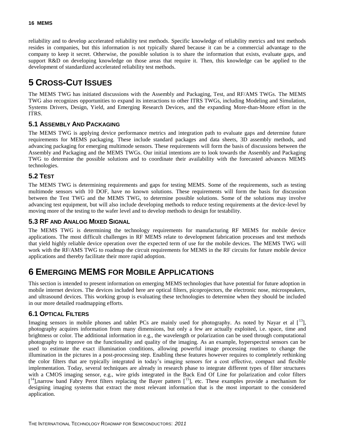reliability and to develop accelerated reliability test methods. Specific knowledge of reliability metrics and test methods resides in companies, but this information is not typically shared because it can be a commercial advantage to the company to keep it secret. Otherwise, the possible solution is to share the information that exists, evaluate gaps, and support R&D on developing knowledge on those areas that require it. Then, this knowledge can be applied to the development of standardized accelerated reliability test methods.

### <span id="page-19-0"></span>**5 CROSS-CUT ISSUES**

The MEMS TWG has initiated discussions with the Assembly and Packaging, Test, and RF/AMS TWGs. The MEMS TWG also recognizes opportunities to expand its interactions to other ITRS TWGs, including Modeling and Simulation, Systems Drivers, Design, Yield, and Emerging Research Devices, and the expanding More-than-Moore effort in the ITRS.

#### <span id="page-19-1"></span>**5.1 ASSEMBLY AND PACKAGING**

The MEMS TWG is applying device performance metrics and integration path to evaluate gaps and determine future requirements for MEMS packaging. These include standard packages and data sheets, 3D assembly methods, and advancing packaging for emerging multimode sensors. These requirements will form the basis of discussions between the Assembly and Packaging and the MEMS TWGs. Our initial intentions are to look towards the Assembly and Packaging TWG to determine the possible solutions and to coordinate their availability with the forecasted advances MEMS technologies.

#### <span id="page-19-2"></span>**5.2 TEST**

The MEMS TWG is determining requirements and gaps for testing MEMS. Some of the requirements, such as testing multimode sensors with 10 DOF, have no known solutions. These requirements will form the basis for discussion between the Test TWG and the MEMS TWG, to determine possible solutions. Some of the solutions may involve advancing test equipment, but will also include developing methods to reduce testing requirements at the device-level by moving more of the testing to the wafer level and to develop methods to design for testability.

#### <span id="page-19-3"></span>**5.3 RF AND ANALOG MIXED SIGNAL**

The MEMS TWG is determining the technology requirements for manufacturing RF MEMS for mobile device applications. The most difficult challenges in RF MEMS relate to development fabrication processes and test methods that yield highly reliable device operation over the expected term of use for the mobile devices. The MEMS TWG will work with the RF/AMS TWG to roadmap the circuit requirements for MEMS in the RF circuits for future mobile device applications and thereby facilitate their more rapid adoption.

### <span id="page-19-4"></span>**6 EMERGING MEMS FOR MOBILE APPLICATIONS**

This section is intended to present information on emerging MEMS technologies that have potential for future adoption in mobile internet devices. The devices included here are optical filters, picoprojectors, the electronic nose, microspeakers, and ultrasound devices. This working group is evaluating these technologies to determine when they should be included in our more detailed roadmapping efforts.

#### <span id="page-19-5"></span>**6.1 OPTICAL FILTERS**

Imaging sensors in mobile phones and tablet PCs are mainly used for photography. As noted by Nayar et al  $\left[ \begin{array}{c} 13 \\ 1 \end{array} \right]$ , photography acquires information from many dimensions, but only a few are actually exploited, i.e. space, time and brightness or color. The additional information in e.g., the wavelength or polarization can be used through computational photography to improve on the functionality and quality of the imaging. As an example, hyperspectral sensors can be used to estimate the exact illumination conditions, allowing powerful image processing routines to change the illumination in the pictures in a post-processing step. Enabling these features however requires to completely rethinking the color filters that are typically integrated in today's imaging sensors for a cost effective, compact and flexible implementation. Today, several techniques are already in research phase to integrate different types of filter structures with a CMOS imaging sensor, e.g., wire grids integrated in the Back End Of Line for polarization and color filters [<sup>14</sup>],narrow band Fabry Perot filters replacing the Bayer pattern [<sup>15</sup>], etc. These examples provide a mechanism for designing imaging systems that extract the most relevant information that is the most important to the considered application.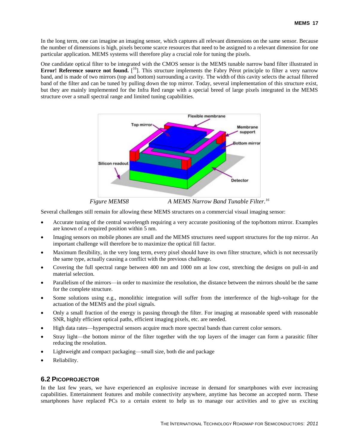In the long term, one can imagine an imaging sensor, which captures all relevant dimensions on the same sensor. Because the number of dimensions is high, pixels become scarce resources that need to be assigned to a relevant dimension for one particular application. MEMS systems will therefore play a crucial role for tuning the pixels.

One candidate optical filter to be integrated with the CMOS sensor is the MEMS tunable narrow band filter illustrated in **Error! Reference source not found.** [<sup>16</sup>]. This structure implements the Fabry Pérot principle to filter a very narrow band, and is made of two mirrors (top and bottom) surrounding a cavity. The width of this cavity selects the actual filtered band of the filter and can be tuned by pulling down the top mirror. Today, several implementation of this structure exist, but they are mainly implemented for the Infra Red range with a special breed of large pixels integrated in the MEMS structure over a small spectral range and limited tuning capabilities.

<span id="page-20-2"></span>

*Figure MEMS8 A MEMS Narrow Band Tunable Filter. [16](#page-20-2)*

<span id="page-20-1"></span>Several challenges still remain for allowing these MEMS structures on a commercial visual imaging sensor:

- Accurate tuning of the central wavelength requiring a very accurate positioning of the top/bottom mirror. Examples are known of a required position within 5 nm.
- Imaging sensors on mobile phones are small and the MEMS structures need support structures for the top mirror. An important challenge will therefore be to maximize the optical fill factor.
- Maximum flexibility, in the very long term, every pixel should have its own filter structure, which is not necessarily the same type, actually causing a conflict with the previous challenge.
- Covering the full spectral range between 400 nm and 1000 nm at low cost, stretching the designs on pull-in and material selection.
- Parallelism of the mirrors—in order to maximize the resolution, the distance between the mirrors should be the same for the complete structure.
- Some solutions using e.g., monolithic integration will suffer from the interference of the high-voltage for the actuation of the MEMS and the pixel signals.
- Only a small fraction of the energy is passing through the filter. For imaging at reasonable speed with reasonable SNR, highly efficient optical paths, efficient imaging pixels, etc. are needed.
- High data rates—hyperspectral sensors acquire much more spectral bands than current color sensors.
- Stray light—the bottom mirror of the filter together with the top layers of the imager can form a parasitic filter reducing the resolution.
- Lightweight and compact packaging—small size, both die and package
- Reliability.

#### <span id="page-20-0"></span>**6.2 PICOPROJECTOR**

In the last few years, we have experienced an explosive increase in demand for smartphones with ever increasing capabilities. Entertainment features and mobile connectivity anywhere, anytime has become an accepted norm. These smartphones have replaced PCs to a certain extent to help us to manage our activities and to give us exciting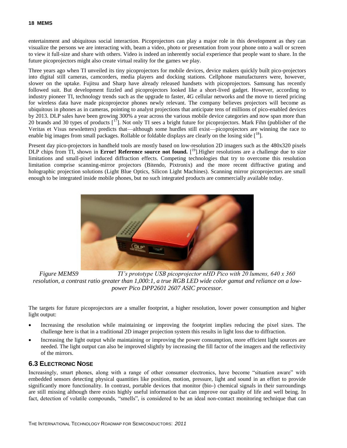entertainment and ubiquitous social interaction. Picoprojectors can play a major role in this development as they can visualize the persons we are interacting with, beam a video, photo or presentation from your phone onto a wall or screen to view it full-size and share with others. Video is indeed an inherently social experience that people want to share. In the future picoprojectors might also create virtual reality for the games we play.

Three years ago when TI unveiled its tiny picoprojectors for mobile devices, device makers quickly built pico-projectors into digital still cameras, camcorders, media players and docking stations. Cellphone manufacturers were, however, slower on the uptake. Fujitsu and Sharp have already released handsets with picoprojectors. Samsung has recently followed suit. But development fizzled and picoprojectors looked like a short-lived gadget. However, according to industry pioneer TI, technology trends such as the upgrade to faster, 4G cellular networks and the move to tiered pricing for wireless data have made picoprojector phones newly relevant. The company believes projectors will become as ubiquitous in phones as in cameras, pointing to analyst projections that anticipate tens of millions of pico-enabled devices by 2013. DLP sales have been growing 300% a year across the various mobile device categories and now span more than 20 brands and 30 types of products  $\begin{bmatrix} 1^7 \end{bmatrix}$ . Not only TI sees a bright future for picoprojectors. Mark Fihn (publisher of the Veritas et Visus newsletters) predicts that—although some hurdles still exist—picoprojectors are winning the race to enable big images from small packages. Rollable or foldable displays are clearly on the losing side  $\mathfrak{f}^{\text{18}}$ .

Present day pico-projectors in handheld tools are mostly based on low-resolution 2D imagers such as the 480x320 pixels DLP chips from TI, shown in **Error! Reference source not found.** [<sup>19</sup>]. Higher resolutions are a challenge due to size limitations and small-pixel induced diffraction effects. Competing technologies that try to overcome this resolution limitation comprise scanning-mirror projectors (Bitendo, Pixtronix) and the more recent diffractive grating and holographic projection solutions (Light Blue Optics, Silicon Light Machines). Scanning mirror picoprojectors are small enough to be integrated inside mobile phones, but no such integrated products are commercially available today.



*Figure MEMS9 TI's prototype USB picoprojector nHD Pico with 20 lumens, 640 x 360 resolution, a contrast ratio greater than 1,000:1, a true RGB LED wide color gamut and reliance on a lowpower Pico DPP2601 2607 ASIC processor.*

<span id="page-21-1"></span>The targets for future picoprojectors are a smaller footprint, a higher resolution, lower power consumption and higher light output:

- Increasing the resolution while maintaining or improving the footprint implies reducing the pixel sizes. The challenge here is that in a traditional 2D imager projection system this results in light loss due to diffraction.
- Increasing the light output while maintaining or improving the power consumption, more efficient light sources are needed. The light output can also be improved slightly by increasing the fill factor of the imagers and the reflectivity of the mirrors.

#### <span id="page-21-0"></span>**6.3 ELECTRONIC NOSE**

Increasingly, smart phones, along with a range of other consumer electronics, have become "situation aware" with embedded sensors detecting physical quantities like position, motion, pressure, light and sound in an effort to provide significantly more functionality. In contrast, portable devices that monitor (bio-) chemical signals in their surroundings are still missing although there exists highly useful information that can improve our quality of life and well being. In fact, detection of volatile compounds, "smells", is considered to be an ideal non-contact monitoring technique that can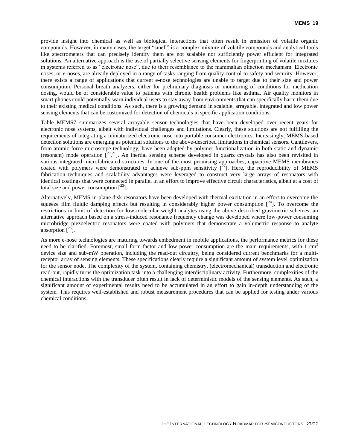provide insight into chemical as well as biological interactions that often result in emission of volatile organic compounds. However, in many cases, the target "smell" is a complex mixture of volatile compounds and analytical tools like spectrometers that can precisely identify them are not scalable nor sufficiently power efficient for integrated solutions. An alternative approach is the use of partially selective sensing elements for fingerprinting of volatile mixtures in systems referred to as "electronic nose", due to their resemblance to the mammalian olfaction mechanism. Electronic noses, or *e*-noses, are already deployed in a range of tasks ranging from quality control to safety and security. However, there exists a range of applications that current e-nose technologies are unable to target due to their size and power consumption. Personal breath analyzers, either for preliminary diagnosis or monitoring of conditions for medication dosing, would be of considerable value to patients with chronic health problems like asthma. Air quality monitors in smart phones could potentially warn individual users to stay away from environments that can specifically harm them due to their existing medical conditions. As such, there is a growing demand in scalable, arrayable, integrated and low power sensing elements that can be customized for detection of chemicals in specific application conditions.

Table MEMS7 summarizes several arrayable sensor technologies that have been developed over recent years for electronic nose systems, albeit with individual challenges and limitations. Clearly, these solutions are not fulfilling the requirements of integrating a miniaturized electronic nose into portable consumer electronics. Increasingly, MEMS-based detection solutions are emerging as potential solutions to the above-described limitations in chemical sensors. Cantilevers, from atomic force microscope technology, have been adapted by polymer functionalization in both static and dynamic (resonant) mode operation  $\tilde{l}^{20,21}$ ]. An inertial sensing scheme developed in quartz crystals has also been revisited in various integrated microfabricated structures. In one of the most promising approaches, capacitive MEMS membranes coated with polymers were demonstrated to achieve sub-ppm sensitivity  $[^{22}]$ . Here, the reproducibility of MEMS fabrication techniques and scalability advantages were leveraged to construct very large arrays of resonators with identical coatings that were connected in parallel in an effort to improve effective circuit characteristics, albeit at a cost of total size and power consumption  $\lceil^{23} \rceil$ .

Alternatively, MEMS in-plane disk resonators have been developed with thermal excitation in an effort to overcome the squeeze film fluidic damping effects but resulting in considerably higher power consumption  $\binom{24}{1}$ . To overcome the restrictions in limit of detection for low-molecular weight analytes using the above described gravimetric schemes, an alternative approach based on a stress-induced resonance frequency change was developed where low-power consuming microbridge piezoelectric resonators were coated with polymers that demonstrate a volumetric response to analyte absorption  $\lceil \frac{25}{3} \rceil$ .

As more e-nose technologies are maturing towards embedment in mobile applications, the performance metrics for these need to be clarified. Foremost, small form factor and low power consumption are the main requirements, with  $1 \text{ cm}^2$ device size and sub-mW operation, including the read-out circuitry, being considered current benchmarks for a multireceptor array of sensing elements. These specifications clearly require a significant amount of system level optimization for the sensor node. The complexity of the system, containing chemistry, (electromechanical) transduction and electronic read-out, rapidly turns the optimization task into a challenging interdisciplinary activity. Furthermore, complexities of the chemical interactions with the transducer often result in lack of deterministic models of the sensing elements. As such, a significant amount of experimental results need to be accumulated in an effort to gain in-depth understanding of the system. This requires well-established and robust measurement procedures that can be applied for testing under various chemical conditions.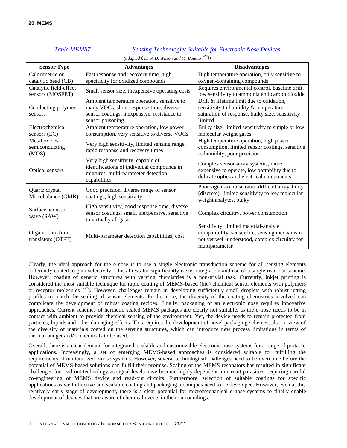#### *Table MEMS7 Sensing Technologies Suitable for Electronic Nose Devices*

<span id="page-23-0"></span>

| <b>Sensor Type</b>                      | <b>Advantages</b>                                                                                                                      | <b>Disadvantages</b>                                                                                                            |  |  |  |  |
|-----------------------------------------|----------------------------------------------------------------------------------------------------------------------------------------|---------------------------------------------------------------------------------------------------------------------------------|--|--|--|--|
| Calorimetric or                         | Fast response and recovery time, high                                                                                                  | High temperature operation, only sensitive to                                                                                   |  |  |  |  |
| catalytic bead (CB)                     | specificity for oxidized compounds                                                                                                     | oxygen-containing compounds                                                                                                     |  |  |  |  |
| Catalytic field-effect                  |                                                                                                                                        | Requires environmental control, baseline drift,                                                                                 |  |  |  |  |
| sensors (MOSFET)                        | Small sensor size, inexpensive operating costs                                                                                         | low sensitivity to ammonia and carbon dioxide                                                                                   |  |  |  |  |
|                                         | Ambient temperature operation, sensitive to                                                                                            | Drift & lifetime limit due to oxidation,                                                                                        |  |  |  |  |
| Conducting polymer                      | many VOCs, short response time, diverse                                                                                                | sensitivity to humidity & temperature,                                                                                          |  |  |  |  |
| sensors                                 | sensor coatings, inexpensive, resistance to                                                                                            | saturation of response, bulky size, sensitivity                                                                                 |  |  |  |  |
|                                         | sensor poisoning                                                                                                                       | limited                                                                                                                         |  |  |  |  |
| Electrochemical                         | Ambient temperature operation, low power                                                                                               | Bulky size, limited sensitivity to simple or low                                                                                |  |  |  |  |
| sensors (EC)                            | consumption, very sensitive to diverse VOCs                                                                                            | molecular weight gases                                                                                                          |  |  |  |  |
| Metal oxides                            |                                                                                                                                        | High temperature operation, high power                                                                                          |  |  |  |  |
| semiconducting                          | Very high sensitivity, limited sensing range,                                                                                          | consumption, limited sensor coatings, sensitive                                                                                 |  |  |  |  |
| (MOS)                                   | rapid response and recovery times                                                                                                      | to humidity, poor precision                                                                                                     |  |  |  |  |
| Optical sensors                         | Very high sensitivity, capable of<br>identifications of individual compounds in<br>mixtures, multi-parameter detection<br>capabilities | Complex sensor-array systems, more<br>expensive to operate, low portability due to<br>delicate optics and electrical components |  |  |  |  |
| Quartz crystal                          | Good precision, diverse range of sensor                                                                                                | Poor signal-to noise ratio, difficult arrayability                                                                              |  |  |  |  |
| Microbalance (QMB)                      | coatings, high sensitivity                                                                                                             | (discrete), limited sensitivity to low molecular<br>weight analytes, bulky                                                      |  |  |  |  |
| Surface acoustic<br>wave (SAW)          | High sensitivity, good response time, diverse<br>sensor coatings, small, inexpensive, sensitive<br>to virtually all gases              | Complex circuitry, power consumption                                                                                            |  |  |  |  |
| Organic thin film<br>transistors (OTFT) | Multi-parameter detection capabilities, cost                                                                                           | Sensitivity, limited material-analyte<br>compatibility, sensor life, sensing mechanism                                          |  |  |  |  |
|                                         |                                                                                                                                        | not yet well-understood, complex circuitry for<br>multiparameter                                                                |  |  |  |  |

*(adapted from A.D. Wilson and M. Baietto [ <sup>26</sup>])*

Clearly, the ideal approach for the e-nose is to use a single electronic transduction scheme for all sensing elements differently coated to gain selectivity. This allows for significantly easier integration and use of a single read-out scheme. However, coating of generic structures with varying chemistries is a non-trivial task. Currently, inkjet printing is considered the most suitable technique for rapid coating of MEMS-based (bio) chemical sensor elements with polymers or receptor molecules  $[2^7]$ . However, challenges remain in developing sufficiently small droplets with robust jetting profiles to match the scaling of sensor elements. Furthermore, the diversity of the coating chemistries involved can complicate the development of robust coating recipes. Finally, packaging of an electronic nose requires innovative approaches. Current schemes of hermetic sealed MEMS packages are clearly not suitable, as the e-nose needs to be in contact with ambient to provide chemical sensing of the environment. Yet, the device needs to remain protected from particles, liquids and other damaging effects. This requires the development of novel packaging schemes, also in view of the diversity of materials coated on the sensing structures, which can introduce new process limitations in terms of thermal budget and/or chemicals to be used.

Overall, there is a clear demand for integrated, scalable and customizable electronic nose systems for a range of portable applications. Increasingly, a set of emerging MEMS-based approaches is considered suitable for fulfilling the requirements of miniaturized e-nose systems. However, several technological challenges need to be overcome before the potential of MEMS-based solutions can fulfill their promise. Scaling of the MEMS resonators has resulted in significant challenges for read-out technology as signal levels have become highly dependent on circuit parasitics, requiring careful co-engineering of MEMS device and read-out circuits. Furthermore, selection of suitable coatings for specific applications as well effective and scalable coating and packaging techniques need to be developed. However, even at this relatively early stage of development, there is a clear potential for micromechanical e-nose systems to finally enable development of devices that are aware of chemical events in their surroundings.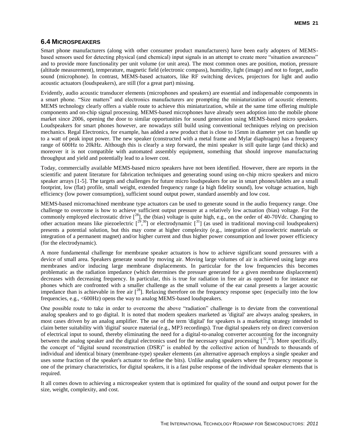#### <span id="page-24-0"></span>**6.4 MICROSPEAKERS**

Smart phone manufacturers (along with other consumer product manufacturers) have been early adopters of MEMSbased sensors used for detecting physical (and chemical) input signals in an attempt to create more "situation awareness" and to provide more functionality per unit volume (or unit area). The most common ones are position, motion, pressure (altitude measurement), temperature, magnetic field (electronic compass), humidity, light (image) and not to forget, audio sound (microphone). In contrast, MEMS-based actuators, like RF switching devices, projectors for light and audio acoustic actuators (loudspeakers), are still (for a great part) missing.

Evidently, audio acoustic transducer elements (microphones and speakers) are essential and indispensable components in a smart phone. "Size matters" and electronics manufacturers are prompting the miniaturization of acoustic elements. MEMS technology clearly offers a viable route to achieve this miniaturization, while at the same time offering multiple components and on-chip signal processing. MEMS-based microphones have already seen adoption into the mobile phone market since 2006, opening the door to similar opportunities for sound generation using MEMS-based micro speakers. Loudspeakers for smart phones however, are nowadays still build using conventional techniques relying on precision mechanics. Regal Electronics, for example, has added a new product that is close to 15mm in diameter yet can handle up to a watt of peak input power. The new speaker (constructed with a metal frame and Mylar diaphragm) has a frequency range of 600Hz to 20kHz. Although this is clearly a step forward, the mini speaker is still quite large (and thick) and moreover it is not compatible with automated assembly equipment, something that should improve manufacturing throughput and yield and potentially lead to a lower cost.

Today, commercially available MEMS-based micro speakers have not been identified. However, there are reports in the scientific and patent literature for fabrication techniques and generating sound using on-chip micro speakers and micro speaker arrays [1-5]. The targets and challenges for future micro loudspeakers for use in smart phones/tablets are a small footprint, low (flat) profile, small weight, extended frequency range (a high fidelity sound), low voltage actuation, high efficiency (low power consumption), sufficient sound output power, standard assembly and low cost.

<span id="page-24-1"></span>MEMS-based micromachined membrane type actuators can be used to generate sound in the audio frequency range. One challenge to overcome is how to achieve sufficient output pressure at a relatively low actuation (bias) voltage. For the commonly employed electrostatic drive  $[^{28}]$ , the (bias) voltage is quite high, e.g., on the order of 40-70Vdc. Changing to other actuation means like piezoelectric  $\binom{29,30}{ }$  or electrodynamic  $\binom{31}{ }$  (as used in traditional moving-coil loudspeakers) presents a potential solution, but this may come at higher complexity (e.g., integration of piezoelectric materials or integration of a permanent magnet) and/or higher current and thus higher power consumption and lower power efficiency (for the electrodynamic).

A more fundamental challenge for membrane speaker actuators is how to achieve significant sound pressures with a device of small area. Speakers generate sound by moving air. Moving large volumes of air is achieved using large area membranes and/or inducing large membrane displacements. In particular for the low frequencies this becomes problematic as the radiation impedance (which determines the pressure generated for a given membrane displacement) decreases with decreasing frequency. In particular, this is true for radiation in free air as opposed to for instance ear phones which are confronted with a smaller challenge as the small volume of the ear canal presents a larger acoustic impedance than is achievable in free air  $\int^{28}$  $\int^{28}$  $\int^{28}$ ]. Relaxing therefore on the frequency response spec (especially into the low frequencies, e.g., <600Hz) opens the way to analog MEMS-based loudspeakers.

One possible route to take in order to overcome the above "radiation" challenge is to deviate from the conventional analog speakers and to go digital. It is noted that modern speakers marketed as 'digital' are always analog speakers, in most cases driven by an analog amplifier. The use of the term 'digital' for speakers is a marketing strategy intended to claim better suitability with 'digital' source material (e.g., MP3 recordings). True digital speakers rely on direct conversion of electrical input to sound, thereby eliminating the need for a digital-to-analog converter accounting for the incongruity between the analog speaker and the digital electronics used for the necessary signal processing  $[^{32,33}]$ . More specifically, the concept of "digital sound reconstruction (DSR)" is enabled by the collective action of hundreds to thousands of individual and identical binary (membrane-type) speaker elements (an alternative approach employs a single speaker and uses some fraction of the speaker's actuator to define the bits). Unlike analog speakers where the frequency response is one of the primary characteristics, for digital speakers, it is a fast pulse response of the individual speaker elements that is required.

It all comes down to achieving a microspeaker system that is optimized for quality of the sound and output power for the size, weight, complexity, and cost.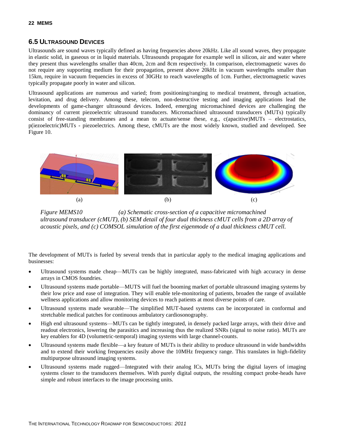#### <span id="page-25-0"></span>**6.5 ULTRASOUND DEVICES**

Ultrasounds are sound waves typically defined as having frequencies above 20kHz. Like all sound waves, they propagate in elastic solid, in gaseous or in liquid materials. Ultrasounds propagate for example well in silicon, air and water where they present thus wavelengths smaller than 40cm, 2cm and 8cm respectively. In comparison, electromagnetic waves do not require any supporting medium for their propagation, present above 20kHz in vacuum wavelengths smaller than 15km, require in vacuum frequencies in excess of 30GHz to reach wavelengths of 1cm. Further, electromagnetic waves typically propagate poorly in water and silicon.

Ultrasound applications are numerous and varied; from positioning/ranging to medical treatment, through actuation, levitation, and drug delivery. Among these, telecom, non-destructive testing and imaging applications lead the developments of game-changer ultrasound devices. Indeed, emerging micromachined devices are challenging the dominancy of current piezoelectric ultrasound transducers. Micromachined ultrasound transducers (MUTs) typically consist of free-standing membranes and a mean to actuate/sense these, e.g., c(apacitive)MUTs – electrostatics, p(iezoelectric)MUTs - piezoelectrics. Among these, cMUTs are the most widely known, studied and developed. See Figure 10.



*Figure MEMS10 (a) Schematic cross-section of a capacitive micromachined ultrasound transducer (cMUT), (b) SEM detail of four dual thickness cMUT cells from a 2D array of acoustic pixels, and (c) COMSOL simulation of the first eigenmode of a dual thickness cMUT cell.*

The development of MUTs is fueled by several trends that in particular apply to the medical imaging applications and businesses:

- Ultrasound systems made cheap—MUTs can be highly integrated, mass-fabricated with high accuracy in dense arrays in CMOS foundries.
- Ultrasound systems made portable—MUTS will fuel the booming market of portable ultrasound imaging systems by their low price and ease of integration. They will enable tele-monitoring of patients, broaden the range of available wellness applications and allow monitoring devices to reach patients at most diverse points of care.
- Ultrasound systems made wearable—The simplified MUT-based systems can be incorporated in conformal and stretchable medical patches for continuous ambulatory cardiosonography.
- High end ultrasound systems—MUTs can be tightly integrated, in densely packed large arrays, with their drive and readout electronics, lowering the parasitics and increasing thus the realized SNRs (signal to noise ratio). MUTs are key enablers for 4D (volumetric-temporal) imaging systems with large channel-counts.
- Ultrasound systems made flexible—a key feature of MUTs is their ability to produce ultrasound in wide bandwidths and to extend their working frequencies easily above the 10MHz frequency range. This translates in high-fidelity multipurpose ultrasound imaging systems.
- Ultrasound systems made rugged—Integrated with their analog ICs, MUTs bring the digital layers of imaging systems closer to the transducers themselves. With purely digital outputs, the resulting compact probe-heads have simple and robust interfaces to the image processing units.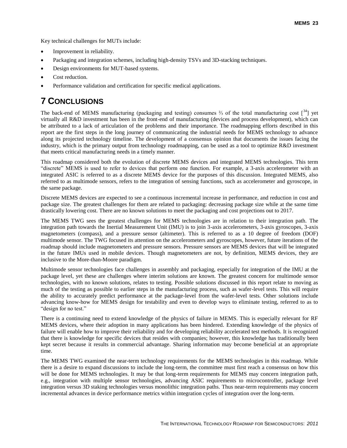Key technical challenges for MUTs include:

- Improvement in reliability.
- Packaging and integration schemes, including high-density TSVs and 3D-stacking techniques.
- Design environments for MUT-based systems.
- Cost reduction.
- Performance validation and certification for specific medical applications.

### <span id="page-26-0"></span>**7 CONCLUSIONS**

The back-end of MEMS manufacturing (packaging and testing) consumes <sup>2</sup>/<sub>3</sub> of the total manufacturing cost [<sup>34</sup>] yet virtually all R&D investment has been in the front-end of manufacturing (devices and process development), which can be attributed to a lack of articulation of the problems and their importance. The roadmapping efforts described in this report are the first steps in the long journey of communicating the industrial needs for MEMS technology to advance along its projected technology timeline. The development of a consensus opinion that documents the issues facing the industry, which is the primary output from technology roadmapping, can be used as a tool to optimize R&D investment that meets critical manufacturing needs in a timely manner.

This roadmap considered both the evolution of discrete MEMS devices and integrated MEMS technologies. This term "discrete" MEMS is used to refer to devices that perform one function. For example, a 3-axis accelerometer with an integrated ASIC is referred to as a discrete MEMS device for the purposes of this discussion. Integrated MEMS, also referred to as multimode sensors, refers to the integration of sensing functions, such as accelerometer and gyroscope, in the same package.

Discrete MEMS devices are expected to see a continuous incremental increase in performance, and reduction in cost and package size. The greatest challenges for them are related to packaging: decreasing package size while at the same time drastically lowering cost. There are no known solutions to meet the packaging and cost projections out to 2017.

The MEMS TWG sees the greatest challenges for MEMS technologies are in relation to their integration path. The integration path towards the Inertial Measurement Unit (IMU) is to join 3-axis accelerometers, 3-axis gyroscopes, 3-axis magnetometers (compass), and a pressure sensor (altimeter). This is referred to as a 10 degree of freedom (DOF) multimode sensor. The TWG focused its attention on the accelerometers and gyroscopes, however, future iterations of the roadmap should include magnetometers and pressure sensors. Pressure sensors are MEMS devices that will be integrated in the future IMUs used in mobile devices. Though magnetometers are not, by definition, MEMS devices, they are inclusive to the More-than-Moore paradigm.

Multimode sensor technologies face challenges in assembly and packaging, especially for integration of the IMU at the package level, yet these are challenges where interim solutions are known. The greatest concern for multimode sensor technologies, with no known solutions, relates to testing. Possible solutions discussed in this report relate to moving as much of the testing as possible to earlier steps in the manufacturing process, such as wafer-level tests. This will require the ability to accurately predict performance at the package-level from the wafer-level tests. Other solutions include advancing know-how for MEMS design for testability and even to develop ways to eliminate testing, referred to as to "design for no test."

There is a continuing need to extend knowledge of the physics of failure in MEMS. This is especially relevant for RF MEMS devices, where their adoption in many applications has been hindered. Extending knowledge of the physics of failure will enable how to improve their reliability and for developing reliability accelerated test methods. It is recognized that there is knowledge for specific devices that resides with companies; however, this knowledge has traditionally been kept secret because it results in commercial advantage. Sharing information may become beneficial at an appropriate time.

The MEMS TWG examined the near-term technology requirements for the MEMS technologies in this roadmap. While there is a desire to expand discussions to include the long-term, the committee must first reach a consensus on how this will be done for MEMS technologies. It may be that long-term requirements for MEMS may concern integration path, e.g., integration with multiple sensor technologies, advancing ASIC requirements to microcontroller, package level integration versus 3D staking technologies versus monolithic integration paths. Thus near-term requirements may concern incremental advances in device performance metrics within integration cycles of integration over the long-term.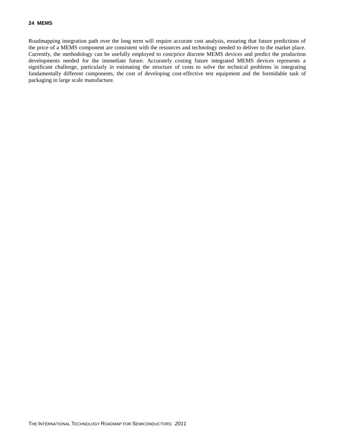Roadmapping integration path over the long term will require accurate cost analysis, ensuring that future predictions of the price of a MEMS component are consistent with the resources and technology needed to deliver to the market place. Currently, the methodology can be usefully employed to cost/price discrete MEMS devices and predict the production developments needed for the immediate future. Accurately costing future integrated MEMS devices represents a significant challenge, particularly in estimating the structure of costs to solve the technical problems in integrating fundamentally different components, the cost of developing cost-effective test equipment and the formidable task of packaging in large scale manufacture.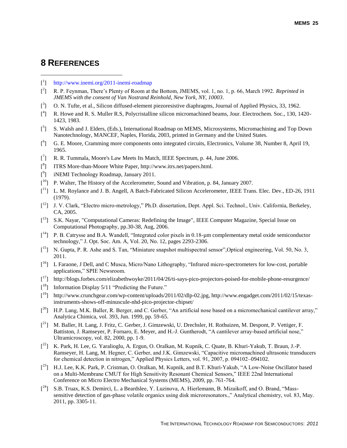### <span id="page-28-0"></span>**8 REFERENCES**

l

- [<sup>1</sup>] <http://www.inemi.org/2011-inemi-roadmap>
- [ 2 ] R. P. Feynman, There's Plenty of Room at the Bottom, JMEMS, vol. 1, no. 1, p. 66, March 1992. *Reprinted in JMEMS with the consent of Van Nostrand Reinhold, New York, NY, 10003*.
- [<sup>3</sup>] O. N. Tufte, et al., Silicon diffused-element piezoresistive diaphragms, Journal of Applied Physics, 33, 1962.
- [ 4 ] R. Howe and R. S. Muller R.S, Polycristalline silicon micromachined beams, Jour. Electrochem. Soc., 130, 1420- 1423, 1983.
- [<sup>5</sup>] S. Walsh and J. Elders, (Eds.), International Roadmap on MEMS, Microsystems, Micromachining and Top Down Nanotechnology, MANCEF, Naples, Florida, 2003, printed in Germany and the United States.
- $\begin{bmatrix}^6\end{bmatrix}$  G. E. Moore, Cramming more components onto integrated circuits, Electronics, Volume 38, Number 8, April 19, 1965.
- [<sup>7</sup>] R. R. Tummala, Moore's Law Meets Its Match, IEEE Spectrum, p. 44, June 2006.
- [<sup>8</sup>] ITRS More-than-Moore White Paper, http://www.itrs.net/papers.html.
- [<sup>9</sup>] iNEMI Technology Roadmap, January 2011.
- $[$ <sup>10</sup>] P. Walter, The History of the Accelerometer, Sound and Vibration, p. 84, January 2007.
- $\begin{bmatrix} 11 \end{bmatrix}$  L. M. Roylance and J. B. Angell, A Batch-Fabricated Silicon Accelerometer, IEEE Trans. Elec. Dev., ED-26, 1911 (1979).
- [<sup>12</sup>] J. V. Clark, "Electro micro-metrology," Ph.D. dissertation, Dept. Appl. Sci. Technol., Univ. California, Berkeley, CA, 2005.
- [<sup>13</sup>] S.K. Nayar, "Computational Cameras: Redefining the Image", IEEE Computer Magazine, Special Issue on Computational Photography, pp.30-38, Aug, 2006.
- $\begin{bmatrix} 14 \end{bmatrix}$  P. B. Catrysse and B.A. Wandell, "Integrated color pixels in 0.18-µm complementary metal oxide semiconductor technology," J. Opt. Soc. Am. A, Vol. 20, No. 12, pages 2293-2306.
- [<sup>15</sup>] N. Gupta, P. R. Ashe and S. Tan, "Miniature snapshot multispectral sensor", Optical engineering, Vol. 50, No. 3, 2011.
- [<sup>16</sup>] L Faraone, J Dell, and C Musca, Micro/Nano Lithography, "Infrared micro-spectrometers for low-cost, portable applications," SPIE Newsroom.
- [<sup>17</sup>] http://blogs.forbes.com/elizabethwoyke/2011/04/26/ti-says-pico-projectors-poised-for-mobile-phone-resurgence/
- [<sup>18</sup>] Information Display 5/11 "Predicting the Future."
- [<sup>19</sup>] http://www.crunchgear.com/wp-content/uploads/2011/02/dlp-02.jpg, http://www.engadget.com/2011/02/15/texasinstruments-shows-off-minuscule-nhd-pico-projector-chipset/
- $[2^{\text{20}}]$  H.P. Lang, M.K. Baller, R. Berger, and C. Gerber, "An artificial nose based on a micromechanical cantilever array," Analytica Chimica, vol. 393, Jun. 1999, pp. 59-65.
- [<sup>21</sup>] M. Baller, H. Lang, J. Fritz, C. Gerber, J. Gimzewski, U. Drechsler, H. Rothuizen, M. Despont, P. Vettiger, F. Battiston, J. Ramseyer, P. Fornaro, E. Meyer, and H.-J. Guntherodt, "A cantilever array-based artificial nose," Ultramicroscopy, vol. 82, 2000, pp. 1-9.
- [<sup>22</sup>] K. Park, H. Lee, G. Yaralioglu, A. Ergun, O. Oralkan, M. Kupnik, C. Quate, B. Khuri-Yakub, T. Braun, J.-P. Ramseyer, H. Lang, M. Hegner, C. Gerber, and J.K. Gimzewski, "Capacitive micromachined ultrasonic transducers for chemical detection in nitrogen," Applied Physics Letters, vol. 91, 2007, p. 094102–094102.
- [<sup>23</sup>] H.J. Lee, K.K. Park, P. Cristman, O. Oralkan, M. Kupnik, and B.T. Khuri-Yakub, "A Low-Noise Oscillator based on a Multi-Membrane CMUT for High Sensitivity Resonant Chemical Sensors," IEEE 22nd International Conference on Micro Electro Mechanical Systems (MEMS), 2009, pp. 761-764.
- [<sup>24</sup>] S.B. Truax, K.S. Demirci, L. a Beardslee, Y. Luzinova, A. Hierlemann, B. Mizaikoff, and O. Brand, "Masssensitive detection of gas-phase volatile organics using disk microresonators.," Analytical chemistry, vol. 83, May. 2011, pp. 3305-11.